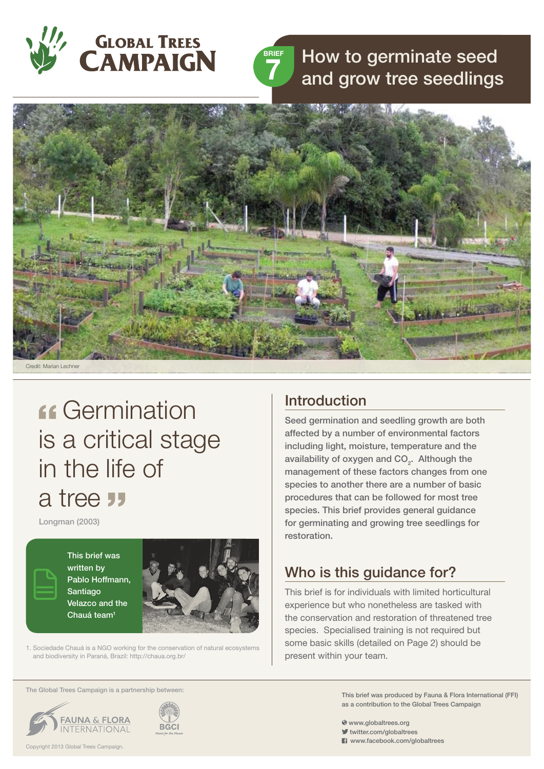



# How to germinate seed and grow tree seedlings



# **Germination** is a critical stage in the life of a tree "

Longman (2003)

This brief was written by Pablo Hoffmann, Santiago Velazco and the Chauá team<sup>1</sup>



1. Sociedade Chauá is a NGO working for the conservation of natural ecosystems and biodiversity in Paraná, Brazil: http://chaua.org.br/

#### The Global Trees Campaign is a partnership between:





### Introduction

Seed germination and seedling growth are both affected by a number of environmental factors including light, moisture, temperature and the availability of oxygen and  $CO<sub>2</sub>$ . Although the management of these factors changes from one species to another there are a number of basic procedures that can be followed for most tree species. This brief provides general guidance for germinating and growing tree seedlings for restoration.

# Who is this guidance for?

This brief is for individuals with limited horticultural experience but who nonetheless are tasked with the conservation and restoration of threatened tree species. Specialised training is not required but some basic skills (detailed on Page 2) should be present within your team.

> This brief was produced by Fauna & Flora International (FFI) as a contribution to the Global Trees Campaign

- www.globaltrees.org
- twitter.com/globaltrees
- **El** www.facebook.com/globaltrees

Copyright 2013 Global Trees Campaign.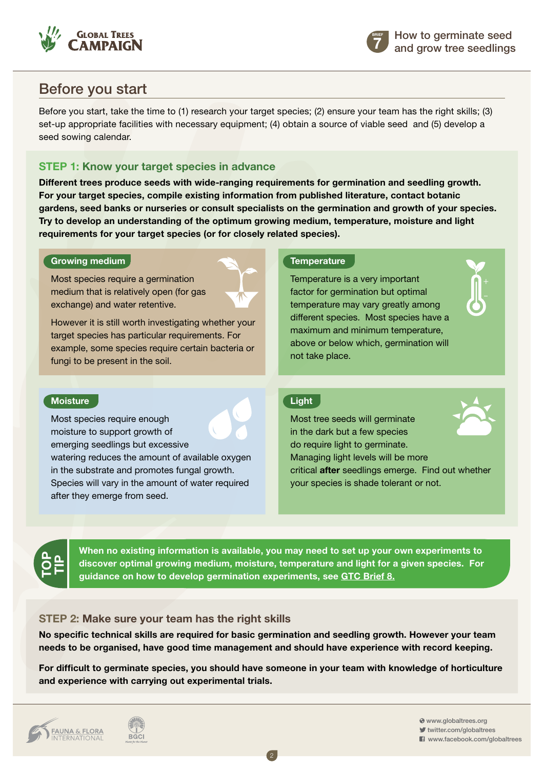



## Before you start

Before you start, take the time to (1) research your target species; (2) ensure your team has the right skills; (3) set-up appropriate facilities with necessary equipment; (4) obtain a source of viable seed and (5) develop a seed sowing calendar.

### **Step 1: Know your target species in advance**

**Different trees produce seeds with wide-ranging requirements for germination and seedling growth. For your target species, compile existing information from published literature, contact botanic gardens, seed banks or nurseries or consult specialists on the germination and growth of your species. Try to develop an understanding of the optimum growing medium, temperature, moisture and light requirements for your target species (or for closely related species).**

#### **Growing medium**

Most species require a germination medium that is relatively open (for gas exchange) and water retentive.

However it is still worth investigating whether your target species has particular requirements. For example, some species require certain bacteria or fungi to be present in the soil.

#### **Temperature**

Temperature is a very important factor for germination but optimal temperature may vary greatly among different species. Most species have a maximum and minimum temperature, above or below which, germination will not take place.

#### **Moisture**

Most species require enough moisture to support growth of emerging seedlings but excessive watering reduces the amount of available oxygen in the substrate and promotes fungal growth. Species will vary in the amount of water required

after they emerge from seed.

#### **Light**

Most tree seeds will germinate in the dark but a few species do require light to germinate. Managing light levels will be more critical **after** seedlings emerge. Find out whether your species is shade tolerant or not.





**When no existing information is available, you may need to set up your own experiments to discover optimal growing medium, moisture, temperature and light for a given species. For guidance on how to develop germination experiments, [see GTC Brief 8.](http://globaltrees.org/resources/germination-experiments)**

#### **Step 2: Make sure your team has the right skills**

**No specific technical skills are required for basic germination and seedling growth. However your team needs to be organised, have good time management and should have experience with record keeping.** 

**For difficult to germinate species, you should have someone in your team with knowledge of horticulture and experience with carrying out experimental trials.**

2



 www.globaltrees.org twitter.com/globaltrees **El** www.facebook.com/globaltrees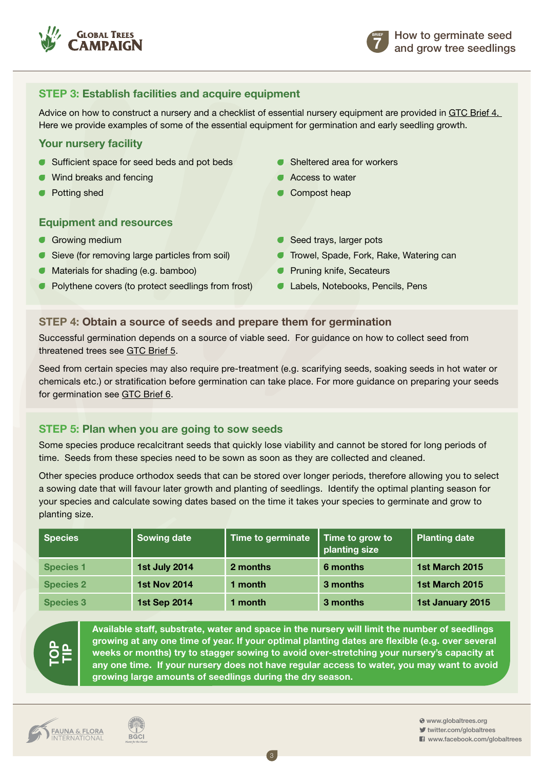

**7 BRIEF**

### **Step 3: Establish facilities and acquire equipment**

Advice on how to construct a nursery and a checklist of essential nursery equipment are provided in [GTC Brief 4.](http://globaltrees.org/resources/how-to-build-a-nursery) Here we provide examples of some of the essential equipment for germination and early seedling growth.

#### **Your nursery facility**

- Sufficient space for seed beds and pot beds
- Wind breaks and fencing
- Potting shed

#### **Equipment and resources**

- Growing medium
- Sieve (for removing large particles from soil)
- Materials for shading (e.g. bamboo)
- Polythene covers (to protect seedlings from frost)
- **Sheltered area for workers**
- Access to water
- Compost heap
- Seed trays, larger pots
- Trowel, Spade, Fork, Rake, Watering can
- Pruning knife, Secateurs
- **Labels, Notebooks, Pencils, Pens**

#### **Step 4: Obtain a source of seeds and prepare them for germination**

Successful germination depends on a source of viable seed. For guidance on how to collect seed from threatened trees see [GTC Brief 5](http://globaltrees.org/resources/seed-collection-threatened-trees).

Seed from certain species may also require pre-treatment (e.g. scarifying seeds, soaking seeds in hot water or chemicals etc.) or stratification before germination can take place. For more guidance on preparing your seeds for germination see [GTC Brief 6.](http://globaltrees.org/resources/storing-seeds-and-preparing-for-germination)

#### **Step 5: Plan when you are going to sow seeds**

Some species produce recalcitrant seeds that quickly lose viability and cannot be stored for long periods of time. Seeds from these species need to be sown as soon as they are collected and cleaned.

Other species produce orthodox seeds that can be stored over longer periods, therefore allowing you to select a sowing date that will favour later growth and planting of seedlings. Identify the optimal planting season for your species and calculate sowing dates based on the time it takes your species to germinate and grow to planting size.

| <b>Species</b>   | <b>Sowing date</b>   | Time to germinate | Time to grow to<br>planting size | <b>Planting date</b> |
|------------------|----------------------|-------------------|----------------------------------|----------------------|
| <b>Species 1</b> | <b>1st July 2014</b> | 2 months          | 6 months                         | 1st March 2015       |
| <b>Species 2</b> | <b>1st Nov 2014</b>  | 1 month           | 3 months                         | 1st March 2015       |
| <b>Species 3</b> | <b>1st Sep 2014</b>  | 1 month           | 3 months                         | 1st January 2015     |

3



**Available staff, substrate, water and space in the nursery will limit the number of seedlings growing at any one time of year. If your optimal planting dates are flexible (e.g. over several weeks or months) try to stagger sowing to avoid over-stretching your nursery's capacity at any one time. If your nursery does not have regular access to water, you may want to avoid growing large amounts of seedlings during the dry season.**



 www.globaltrees.org twitter.com/globaltrees **El** www.facebook.com/globaltrees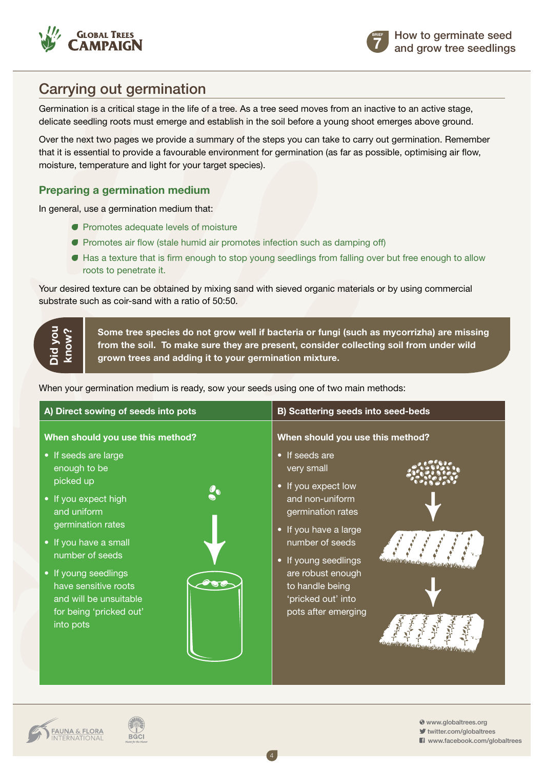



# Carrying out germination

Germination is a critical stage in the life of a tree. As a tree seed moves from an inactive to an active stage, delicate seedling roots must emerge and establish in the soil before a young shoot emerges above ground.

Over the next two pages we provide a summary of the steps you can take to carry out germination. Remember that it is essential to provide a favourable environment for germination (as far as possible, optimising air flow, moisture, temperature and light for your target species).

### **Preparing a germination medium**

In general, use a germination medium that:

- **Promotes adequate levels of moisture**
- **Promotes air flow (stale humid air promotes infection such as damping off)**
- Has a texture that is firm enough to stop young seedlings from falling over but free enough to allow roots to penetrate it.

Your desired texture can be obtained by mixing sand with sieved organic materials or by using commercial substrate such as coir-sand with a ratio of 50:50.

**Did you know?**

**Some tree species do not grow well if bacteria or fungi (such as mycorrizha) are missing from the soil. To make sure they are present, consider collecting soil from under wild grown trees and adding it to your germination mixture.**

When your germination medium is ready, sow your seeds using one of two main methods:

| A) Direct sowing of seeds into pots                                                                                                                                                                                                                                                                             | B) Scattering seeds into seed-beds                                                                                                                                                                                                                                                       |  |
|-----------------------------------------------------------------------------------------------------------------------------------------------------------------------------------------------------------------------------------------------------------------------------------------------------------------|------------------------------------------------------------------------------------------------------------------------------------------------------------------------------------------------------------------------------------------------------------------------------------------|--|
| When should you use this method?<br>• If seeds are large<br>enough to be<br>picked up<br>• If you expect high<br>and uniform<br>germination rates<br>• If you have a small<br>number of seeds<br>• If young seedlings<br>have sensitive roots<br>and will be unsuitable<br>for being 'pricked out'<br>into pots | When should you use this method?<br>• If seeds are<br>very small<br>• If you expect low<br>and non-uniform<br>germination rates<br>• If you have a large<br>number of seeds<br>• If young seedlings<br>are robust enough<br>to handle being<br>'pricked out' into<br>pots after emerging |  |

4

**FAUNA & FLORA**<br>INTERNATIONAL

**BGCI** 

www.globaltrees.org

twitter.com/globaltrees **El** www.facebook.com/globaltrees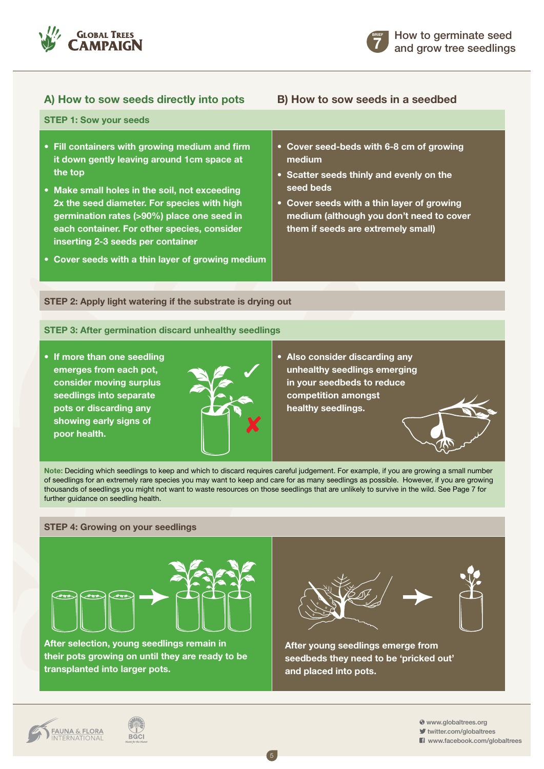

#### **A) How to sow seeds directly into pots B) How to sow seeds in a seedbed**

**7 BRIEF**

- **STEP 1: Sow your seeds • Fill containers with growing medium and firm it down gently leaving around 1cm space at the top • Make small holes in the soil, not exceeding 2x the seed diameter. For species with high germination rates (>90%) place one seed in each container. For other species, consider • Cover seed-beds with 6-8 cm of growing medium • Scatter seeds thinly and evenly on the seed beds • Cover seeds with a thin layer of growing medium (although you don't need to cover them if seeds are extremely small)**
	- **Cover seeds with a thin layer of growing medium**

**inserting 2-3 seeds per container**

# **STEP 2: Apply light watering if the substrate is drying out**

#### **STEP 3: After germination discard unhealthy seedlings**

**• If more than one seedling emerges from each pot, consider moving surplus seedlings into separate pots or discarding any showing early signs of poor health.**



**• Also consider discarding any unhealthy seedlings emerging in your seedbeds to reduce competition amongst healthy seedlings.**

**Note:** Deciding which seedlings to keep and which to discard requires careful judgement. For example, if you are growing a small number of seedlings for an extremely rare species you may want to keep and care for as many seedlings as possible. However, if you are growing thousands of seedlings you might not want to waste resources on those seedlings that are unlikely to survive in the wild. See Page 7 for further guidance on seedling health.

#### **STEP 4: Growing on your seedlings**



**After selection, young seedlings remain in their pots growing on until they are ready to be transplanted into larger pots.** 



**After young seedlings emerge from seedbeds they need to be 'pricked out' and placed into pots.** 

www.globaltrees.org

twitter.com/globaltrees **El** www.facebook.com/globaltrees

5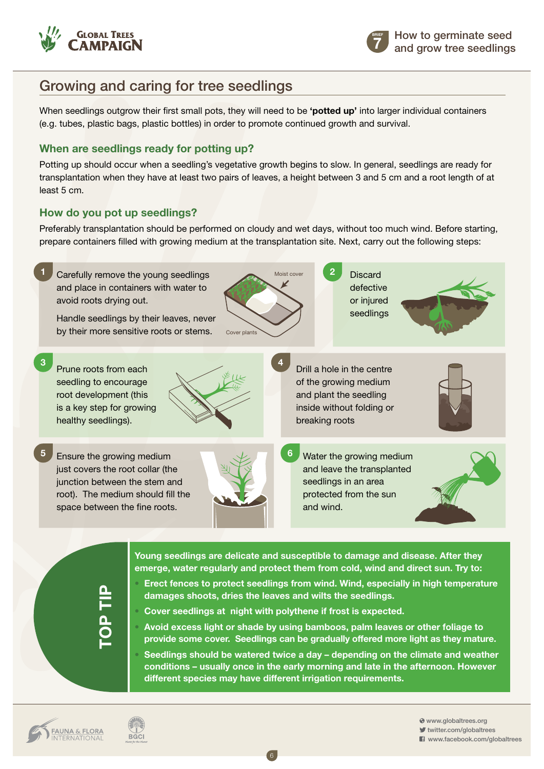

# Growing and caring for tree seedlings

When seedlings outgrow their first small pots, they will need to be **'potted up'** into larger individual containers (e.g. tubes, plastic bags, plastic bottles) in order to promote continued growth and survival.

### **When are seedlings ready for potting up?**

Potting up should occur when a seedling's vegetative growth begins to slow. In general, seedlings are ready for transplantation when they have at least two pairs of leaves, a height between 3 and 5 cm and a root length of at least 5 cm.

### **How do you pot up seedlings?**

**FAUNA & FLORA**<br>INTERNATIONAL

**BGCI** 

Preferably transplantation should be performed on cloudy and wet days, without too much wind. Before starting, prepare containers filled with growing medium at the transplantation site. Next, carry out the following steps:



6

 www.globaltrees.org twitter.com/globaltrees www.facebook.com/globaltrees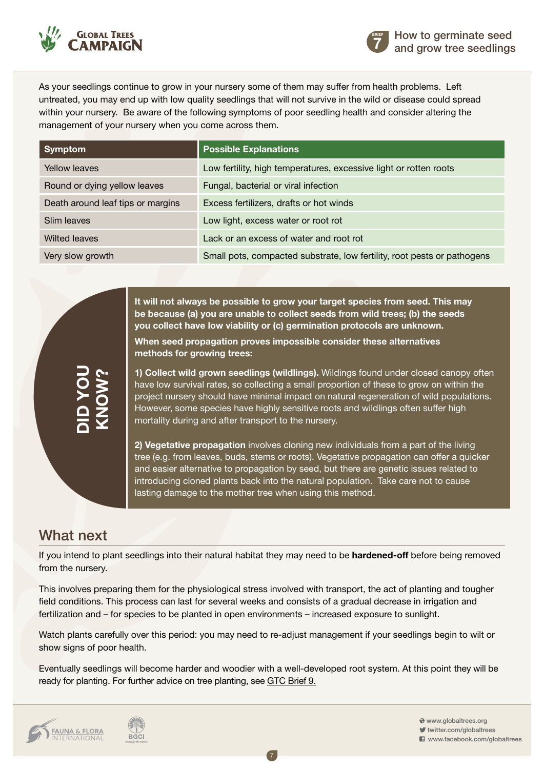

**7 BRIEF**

As your seedlings continue to grow in your nursery some of them may suffer from health problems. Left untreated, you may end up with low quality seedlings that will not survive in the wild or disease could spread within your nursery. Be aware of the following symptoms of poor seedling health and consider altering the management of your nursery when you come across them.

| <b>Symptom</b>                    | <b>Possible Explanations</b>                                            |  |
|-----------------------------------|-------------------------------------------------------------------------|--|
| Yellow leaves                     | Low fertility, high temperatures, excessive light or rotten roots       |  |
| Round or dying yellow leaves      | Fungal, bacterial or viral infection                                    |  |
| Death around leaf tips or margins | Excess fertilizers, drafts or hot winds                                 |  |
| Slim leaves                       | Low light, excess water or root rot                                     |  |
| <b>Wilted leaves</b>              | Lack or an excess of water and root rot                                 |  |
| Very slow growth                  | Small pots, compacted substrate, low fertility, root pests or pathogens |  |

**It will not always be possible to grow your target species from seed. This may be because (a) you are unable to collect seeds from wild trees; (b) the seeds you collect have low viability or (c) germination protocols are unknown.** 

**When seed propagation proves impossible consider these alternatives methods for growing trees:**

**1) Collect wild grown seedlings (wildlings).** Wildings found under closed canopy often have low survival rates, so collecting a small proportion of these to grow on within the project nursery should have minimal impact on natural regeneration of wild populations. However, some species have highly sensitive roots and wildlings often suffer high mortality during and after transport to the nursery.

**2) Vegetative propagation** involves cloning new individuals from a part of the living tree (e.g. from leaves, buds, stems or roots). Vegetative propagation can offer a quicker and easier alternative to propagation by seed, but there are genetic issues related to introducing cloned plants back into the natural population. Take care not to cause lasting damage to the mother tree when using this method.

### What next

**Did you** 

**Know**

**?**

If you intend to plant seedlings into their natural habitat they may need to be **hardened-off** before being removed from the nursery.

This involves preparing them for the physiological stress involved with transport, the act of planting and tougher field conditions. This process can last for several weeks and consists of a gradual decrease in irrigation and fertilization and – for species to be planted in open environments – increased exposure to sunlight.

Watch plants carefully over this period: you may need to re-adjust management if your seedlings begin to wilt or show signs of poor health.

Eventually seedlings will become harder and woodier with a well-developed root system. At this point they will be ready for planting. For further advice on tree planting, [see GTC Brief 9.](http://globaltrees.org/resources/how-to-plant-trees-for-restoration)

7



 www.globaltrees.org twitter.com/globaltrees **El** www.facebook.com/globaltrees